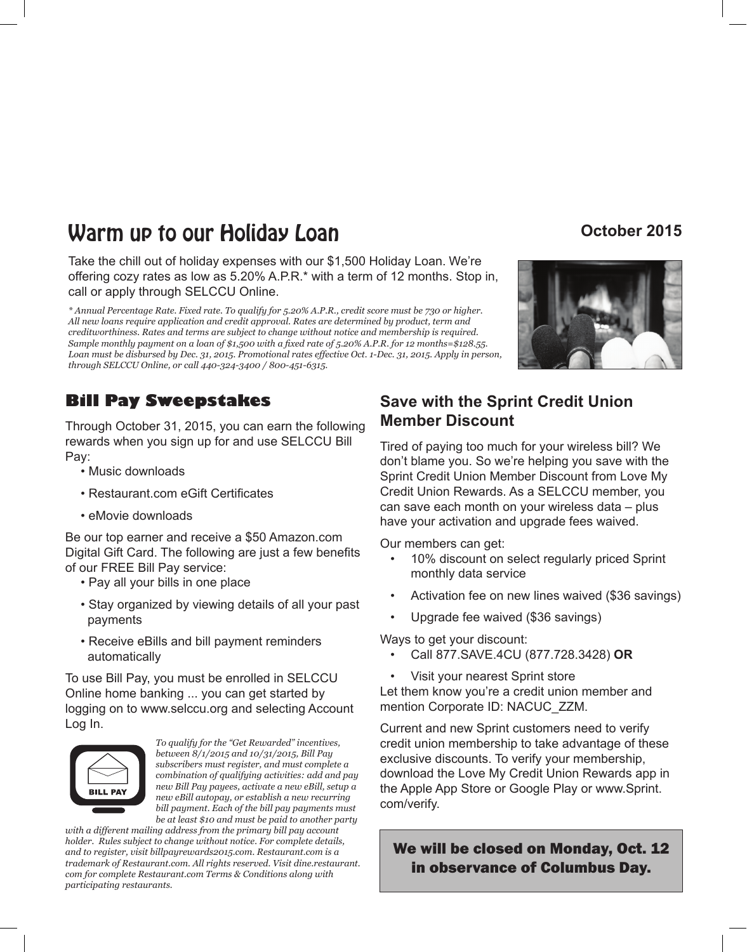# **Warm up to our Holiday Loan <b>Community** Construction october 2015

Take the chill out of holiday expenses with our \$1,500 Holiday Loan. We're offering cozy rates as low as 5.20% A.P.R.\* with a term of 12 months. Stop in, call or apply through SELCCU Online.

*\* Annual Percentage Rate. Fixed rate. To qualify for 5.20% A.P.R., credit score must be 730 or higher. All new loans require application and credit approval. Rates are determined by product, term and creditworthiness. Rates and terms are subject to change without notice and membership is required. Sample monthly payment on a loan of \$1,500 with a fixed rate of 5.20% A.P.R. for 12 months=\$128.55. Loan must be disbursed by Dec. 31, 2015. Promotional rates effective Oct. 1-Dec. 31, 2015. Apply in person, through SELCCU Online, or call 440-324-3400 / 800-451-6315.*

# **Bill Pay Sweepstakes**

Through October 31, 2015, you can earn the following rewards when you sign up for and use SELCCU Bill Pay:

- Music downloads
- Restaurant.com eGift Certificates
- eMovie downloads

Be our top earner and receive a \$50 Amazon.com Digital Gift Card. The following are just a few benefits of our FREE Bill Pay service:

- Pay all your bills in one place
- Stay organized by viewing details of all your past payments
- Receive eBills and bill payment reminders automatically

To use Bill Pay, you must be enrolled in SELCCU Online home banking ... you can get started by logging on to www.selccu.org and selecting Account Log In.



*To qualify for the "Get Rewarded" incentives, between 8/1/2015 and 10/31/2015, Bill Pay subscribers must register, and must complete a combination of qualifying activities: add and pay new Bill Pay payees, activate a new eBill, setup a new eBill autopay, or establish a new recurring bill payment. Each of the bill pay payments must be at least \$10 and must be paid to another party* 

*with a different mailing address from the primary bill pay account holder. Rules subject to change without notice. For complete details, and to register, visit billpayrewards2015.com. Restaurant.com is a trademark of Restaurant.com. All rights reserved. Visit dine.restaurant. com for complete Restaurant.com Terms & Conditions along with participating restaurants.*

# **Save with the Sprint Credit Union Member Discount**

Tired of paying too much for your wireless bill? We don't blame you. So we're helping you save with the Sprint Credit Union Member Discount from Love My Credit Union Rewards. As a SELCCU member, you can save each month on your wireless data – plus have your activation and upgrade fees waived.

Our members can get:

- 10% discount on select regularly priced Sprint monthly data service
- Activation fee on new lines waived (\$36 savings)
- Upgrade fee waived (\$36 savings)

Ways to get your discount:

- Call 877.SAVE.4CU (877.728.3428) **OR**
- Visit your nearest Sprint store

Let them know you're a credit union member and mention Corporate ID: NACUC\_ZZM.

Current and new Sprint customers need to verify credit union membership to take advantage of these exclusive discounts. To verify your membership, download the Love My Credit Union Rewards app in the Apple App Store or Google Play or www.Sprint. com/verify.

### We will be closed on Monday, Oct. 12 in observance of Columbus Day.